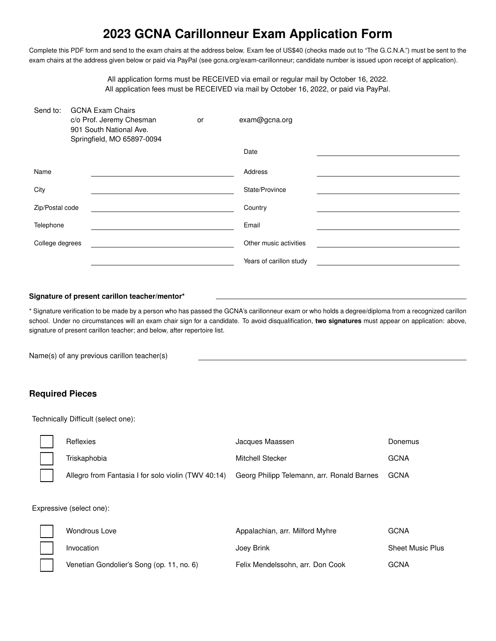## **2023 GCNA Carillonneur Exam Application Form**

Complete this PDF form and send to the exam chairs at the address below. Exam fee of US\$40 (checks made out to "The G.C.N.A.") must be sent to the exam chairs at the address given below or paid via PayPal (see gcna.org/exam-carillonneur; candidate number is issued upon receipt of application).

> All application forms must be RECEIVED via email or regular mail by October 16, 2022. All application fees must be RECEIVED via mail by October 16, 2022, or paid via PayPal.

| Send to:        | <b>GCNA Exam Chairs</b><br>c/o Prof. Jeremy Chesman<br>901 South National Ave.<br>Springfield, MO 65897-0094 | or | exam@gcna.org           |
|-----------------|--------------------------------------------------------------------------------------------------------------|----|-------------------------|
|                 |                                                                                                              |    | Date                    |
| Name            |                                                                                                              |    | Address                 |
| City            |                                                                                                              |    | State/Province          |
| Zip/Postal code |                                                                                                              |    | Country                 |
| Telephone       |                                                                                                              |    | Email                   |
| College degrees |                                                                                                              |    | Other music activities  |
|                 |                                                                                                              |    | Years of carillon study |

## **Signature of present carillon teacher/mentor\***

\* Signature verification to be made by a person who has passed the GCNA's carillonneur exam or who holds a degree/diploma from a recognized carillon school. Under no circumstances will an exam chair sign for a candidate. To avoid disqualification, **two signatures** must appear on application: above, signature of present carillon teacher; and below, after repertoire list.

Name(s) of any previous carillon teacher(s)

## **Required Pieces**

Technically Difficult (select one):

| Reflexies                                           | Jacques Maassen                            | Donemus     |
|-----------------------------------------------------|--------------------------------------------|-------------|
| Triskaphobia                                        | Mitchell Stecker                           | <b>GCNA</b> |
| Allegro from Fantasia I for solo violin (TWV 40:14) | Georg Philipp Telemann, arr. Ronald Barnes | GCNA        |

Expressive (select one):

| <b>Wondrous Love</b>                      | Appalachian, arr. Milford Myhre  | GCNA                    |
|-------------------------------------------|----------------------------------|-------------------------|
| Invocation                                | Joey Brink                       | <b>Sheet Music Plus</b> |
| Venetian Gondolier's Song (op. 11, no. 6) | Felix Mendelssohn, arr. Don Cook | <b>GCNA</b>             |